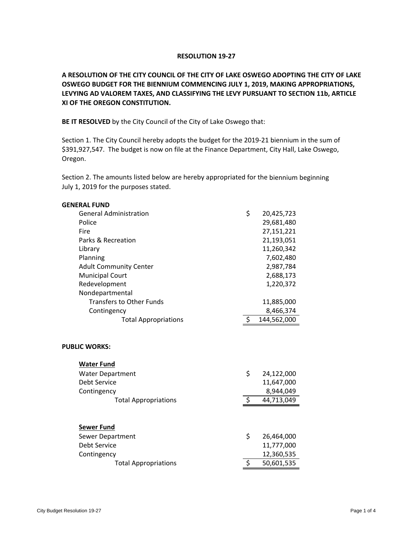## **RESOLUTION 19‐27**

**A RESOLUTION OF THE CITY COUNCIL OF THE CITY OF LAKE OSWEGO ADOPTING THE CITY OF LAKE OSWEGO BUDGET FOR THE BIENNIUM COMMENCING JULY 1, 2019, MAKING APPROPRIATIONS, LEVYING AD VALOREM TAXES, AND CLASSIFYING THE LEVY PURSUANT TO SECTION 11b, ARTICLE XI OF THE OREGON CONSTITUTION.**

**BE IT RESOLVED** by the City Council of the City of Lake Oswego that:

Section 1. The City Council hereby adopts the budget for the 2019-21 biennium in the sum of \$391,927,547. The budget is now on file at the Finance Department, City Hall, Lake Oswego, Oregon.

Section 2. The amounts listed below are hereby appropriated for the biennium beginning July 1, 2019 for the purposes stated.

| <b>GENERAL FUND</b>             |                     |             |
|---------------------------------|---------------------|-------------|
| <b>General Administration</b>   | \$                  | 20,425,723  |
| Police                          |                     | 29,681,480  |
| Fire                            |                     | 27,151,221  |
| Parks & Recreation              |                     | 21,193,051  |
| Library                         |                     | 11,260,342  |
| Planning                        |                     | 7,602,480   |
| <b>Adult Community Center</b>   |                     | 2,987,784   |
| <b>Municipal Court</b>          |                     | 2,688,173   |
| Redevelopment                   |                     | 1,220,372   |
| Nondepartmental                 |                     |             |
| <b>Transfers to Other Funds</b> |                     | 11,885,000  |
| Contingency                     |                     | 8,466,374   |
| <b>Total Appropriations</b>     | \$                  | 144,562,000 |
| <b>PUBLIC WORKS:</b>            |                     |             |
| <b>Water Fund</b>               |                     |             |
| <b>Water Department</b>         | \$                  | 24,122,000  |
| <b>Debt Service</b>             |                     | 11,647,000  |
| Contingency                     |                     | 8,944,049   |
| <b>Total Appropriations</b>     | $\ddot{\bm{\zeta}}$ | 44,713,049  |
|                                 |                     |             |
| <b>Sewer Fund</b>               |                     |             |
| Sewer Department                | \$                  | 26,464,000  |
| <b>Debt Service</b>             |                     | 11,777,000  |
| Contingency                     |                     | 12,360,535  |
| <b>Total Appropriations</b>     | \$                  | 50,601,535  |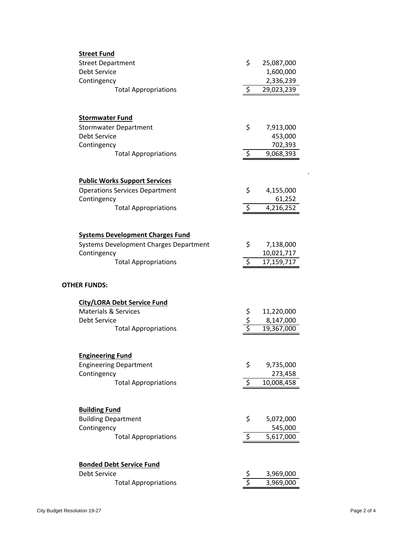| <b>Street Fund</b>                                        |                     |                        |
|-----------------------------------------------------------|---------------------|------------------------|
| <b>Street Department</b>                                  | \$                  | 25,087,000             |
| <b>Debt Service</b>                                       |                     | 1,600,000              |
| Contingency                                               |                     | 2,336,239              |
| <b>Total Appropriations</b>                               | $\ddot{\varsigma}$  | 29,023,239             |
|                                                           |                     |                        |
| <b>Stormwater Fund</b>                                    |                     |                        |
| <b>Stormwater Department</b>                              | \$                  | 7,913,000              |
| <b>Debt Service</b>                                       |                     | 453,000                |
| Contingency                                               |                     | 702,393                |
| <b>Total Appropriations</b>                               | $\ddot{\mathsf{S}}$ | 9,068,393              |
| <b>Public Works Support Services</b>                      |                     |                        |
| <b>Operations Services Department</b>                     | \$                  | 4,155,000              |
| Contingency                                               |                     | 61,252                 |
| <b>Total Appropriations</b>                               | \$                  | $\overline{4,}216,252$ |
|                                                           |                     |                        |
| <b>Systems Development Charges Fund</b>                   |                     |                        |
| Systems Development Charges Department                    | \$                  | 7,138,000              |
| Contingency                                               |                     | 10,021,717             |
| <b>Total Appropriations</b>                               | \$                  | 17,159,717             |
| <b>OTHER FUNDS:</b><br><b>City/LORA Debt Service Fund</b> |                     |                        |
| <b>Materials &amp; Services</b>                           |                     | 11,220,000             |
| <b>Debt Service</b>                                       | \$<br>\$<br>\$      | 8,147,000              |
| <b>Total Appropriations</b>                               |                     | 19,367,000             |
| <b>Engineering Fund</b>                                   |                     |                        |
| <b>Engineering Department</b>                             | \$                  | 9,735,000              |
| Contingency                                               |                     | 273,458                |
| <b>Total Appropriations</b>                               | \$                  | 10,008,458             |
| <b>Building Fund</b><br><b>Building Department</b>        | \$                  | 5,072,000              |
| Contingency                                               |                     | 545,000                |
| <b>Total Appropriations</b>                               | \$                  | 5,617,000              |
| <b>Bonded Debt Service Fund</b>                           |                     |                        |
| Debt Service                                              |                     | 3,969,000              |
| <b>Total Appropriations</b>                               | $rac{5}{5}$         | 3,969,000              |

.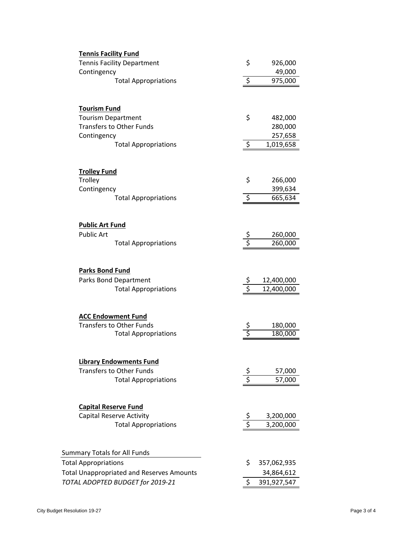| <b>Tennis Facility Fund</b>                                                    |        |                          |
|--------------------------------------------------------------------------------|--------|--------------------------|
| <b>Tennis Facility Department</b>                                              | \$     | 926,000                  |
| Contingency                                                                    |        | 49,000                   |
| <b>Total Appropriations</b>                                                    | \$     | 975,000                  |
|                                                                                |        |                          |
| <b>Tourism Fund</b>                                                            |        |                          |
| <b>Tourism Department</b>                                                      | \$     | 482,000                  |
| <b>Transfers to Other Funds</b>                                                |        | 280,000                  |
| Contingency                                                                    |        | 257,658                  |
| <b>Total Appropriations</b>                                                    | \$     | 1,019,658                |
| <b>Trolley Fund</b><br>Trolley                                                 | \$     | 266,000                  |
| Contingency                                                                    |        | 399,634                  |
| <b>Total Appropriations</b>                                                    | \$     | 665,634                  |
|                                                                                |        |                          |
| <b>Public Art Fund</b>                                                         |        |                          |
| <b>Public Art</b>                                                              | s<br>S | 260,000                  |
| <b>Total Appropriations</b>                                                    |        | 260,000                  |
| <b>Parks Bond Fund</b><br>Parks Bond Department<br><b>Total Appropriations</b> |        | 12,400,000<br>12,400,000 |
| <b>ACC Endowment Fund</b>                                                      |        |                          |
| <b>Transfers to Other Funds</b>                                                |        | 180,000                  |
| <b>Total Appropriations</b>                                                    |        | 180,000                  |
| <b>Library Endowments Fund</b>                                                 |        |                          |
| <b>Transfers to Other Funds</b>                                                |        | 57,000                   |
| <b>Total Appropriations</b>                                                    |        | 57,000                   |
| <b>Capital Reserve Fund</b>                                                    |        |                          |
| <b>Capital Reserve Activity</b>                                                |        | 3,200,000                |
| <b>Total Appropriations</b>                                                    | s<br>S | 3,200,000                |
| <b>Summary Totals for All Funds</b>                                            |        |                          |
| <b>Total Appropriations</b>                                                    | \$     | 357,062,935              |
| <b>Total Unappropriated and Reserves Amounts</b>                               |        | 34,864,612               |
| TOTAL ADOPTED BUDGET for 2019-21                                               | \$     | 391,927,547              |
|                                                                                |        |                          |